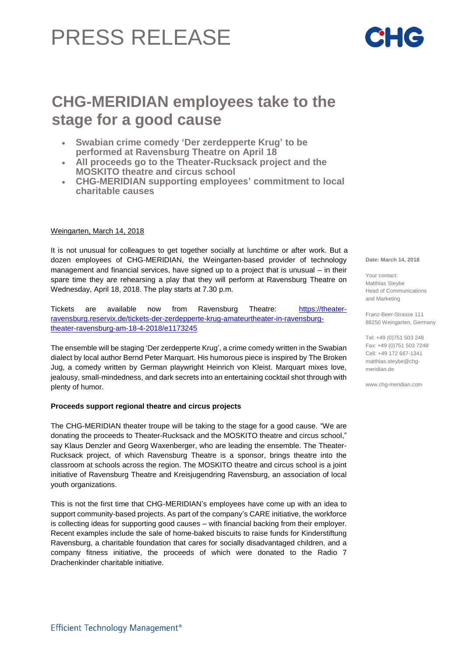# PRESS RELEASE

## **CHG-MERIDIAN employees take to the stage for a good cause**

- **Swabian crime comedy 'Der zerdepperte Krug' to be performed at Ravensburg Theatre on April 18**
- **All proceeds go to the Theater-Rucksack project and the MOSKITO theatre and circus school**
- **CHG-MERIDIAN supporting employees' commitment to local charitable causes**

#### Weingarten, March 14, 2018

It is not unusual for colleagues to get together socially at lunchtime or after work. But a dozen employees of CHG-MERIDIAN, the Weingarten-based provider of technology management and financial services, have signed up to a project that is unusual – in their spare time they are rehearsing a play that they will perform at Ravensburg Theatre on Wednesday, April 18, 2018. The play starts at 7.30 p.m.

Tickets are available now from Ravensburg Theatre: [https://theater](https://theater-ravensburg.reservix.de/tickets-der-zerdepperte-krug-amateurtheater-in-ravensburg-theater-ravensburg-am-18-4-2018/e1173245)[ravensburg.reservix.de/tickets-der-zerdepperte-krug-amateurtheater-in-ravensburg](https://theater-ravensburg.reservix.de/tickets-der-zerdepperte-krug-amateurtheater-in-ravensburg-theater-ravensburg-am-18-4-2018/e1173245)[theater-ravensburg-am-18-4-2018/e1173245](https://theater-ravensburg.reservix.de/tickets-der-zerdepperte-krug-amateurtheater-in-ravensburg-theater-ravensburg-am-18-4-2018/e1173245)

The ensemble will be staging 'Der zerdepperte Krug', a crime comedy written in the Swabian dialect by local author Bernd Peter Marquart. His humorous piece is inspired by The Broken Jug, a comedy written by German playwright Heinrich von Kleist. Marquart mixes love, jealousy, small-mindedness, and dark secrets into an entertaining cocktail shot through with plenty of humor.

#### **Proceeds support regional theatre and circus projects**

The CHG-MERIDIAN theater troupe will be taking to the stage for a good cause. "We are donating the proceeds to Theater-Rucksack and the MOSKITO theatre and circus school," say Klaus Denzler and Georg Waxenberger, who are leading the ensemble. The Theater-Rucksack project, of which Ravensburg Theatre is a sponsor, brings theatre into the classroom at schools across the region. The MOSKITO theatre and circus school is a joint initiative of Ravensburg Theatre and Kreisjugendring Ravensburg, an association of local youth organizations.

This is not the first time that CHG-MERIDIAN's employees have come up with an idea to support community-based projects. As part of the company's CARE initiative, the workforce is collecting ideas for supporting good causes – with financial backing from their employer. Recent examples include the sale of home-baked biscuits to raise funds for Kinderstiftung Ravensburg, a charitable foundation that cares for socially disadvantaged children, and a company fitness initiative, the proceeds of which were donated to the Radio 7 Drachenkinder charitable initiative.

**Date: March 14, 2018**

Your contact: Matthias Steybe Head of Communications and Marketing

Franz-Beer-Strasse 111 88250 Weingarten, Germany

Tel: +49 (0)751 503 248 Fax: +49 (0)751 503 7248 Cell: +49 172 667-1341 [matthias.steybe@chg](mailto:matthias.steybe@chg-)meridian.de

www.chg-meridian.com